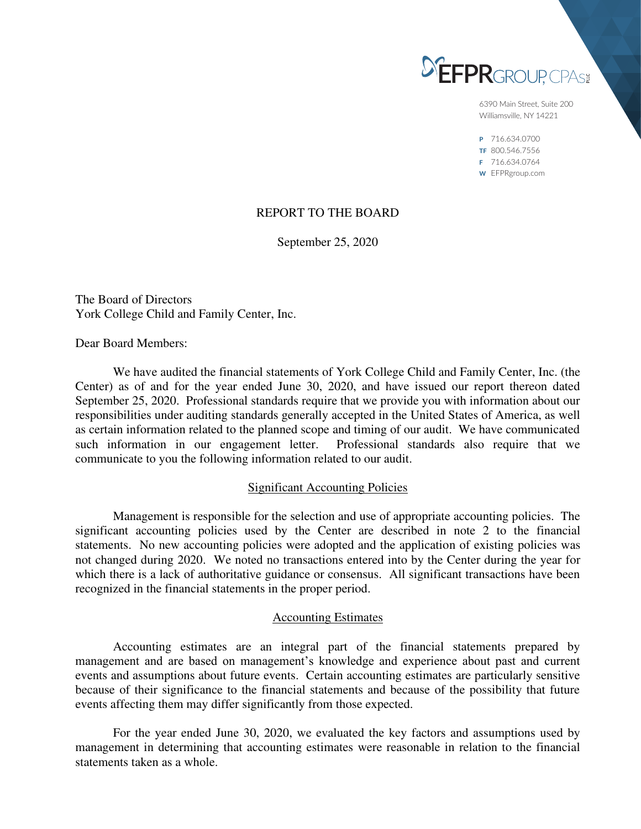

6390 Main Street, Suite 200 Williamsville, NY 14221

P 716.634.0700 TF 800.546.7556 F 716.634.0764 W EFPRgroup.com

# REPORT TO THE BOARD

September 25, 2020

The Board of Directors York College Child and Family Center, Inc.

Dear Board Members:

 We have audited the financial statements of York College Child and Family Center, Inc. (the Center) as of and for the year ended June 30, 2020, and have issued our report thereon dated September 25, 2020. Professional standards require that we provide you with information about our responsibilities under auditing standards generally accepted in the United States of America, as well as certain information related to the planned scope and timing of our audit. We have communicated such information in our engagement letter. Professional standards also require that we communicate to you the following information related to our audit.

# Significant Accounting Policies

 Management is responsible for the selection and use of appropriate accounting policies. The significant accounting policies used by the Center are described in note 2 to the financial statements. No new accounting policies were adopted and the application of existing policies was not changed during 2020. We noted no transactions entered into by the Center during the year for which there is a lack of authoritative guidance or consensus. All significant transactions have been recognized in the financial statements in the proper period.

# Accounting Estimates

 Accounting estimates are an integral part of the financial statements prepared by management and are based on management's knowledge and experience about past and current events and assumptions about future events. Certain accounting estimates are particularly sensitive because of their significance to the financial statements and because of the possibility that future events affecting them may differ significantly from those expected.

 For the year ended June 30, 2020, we evaluated the key factors and assumptions used by management in determining that accounting estimates were reasonable in relation to the financial statements taken as a whole.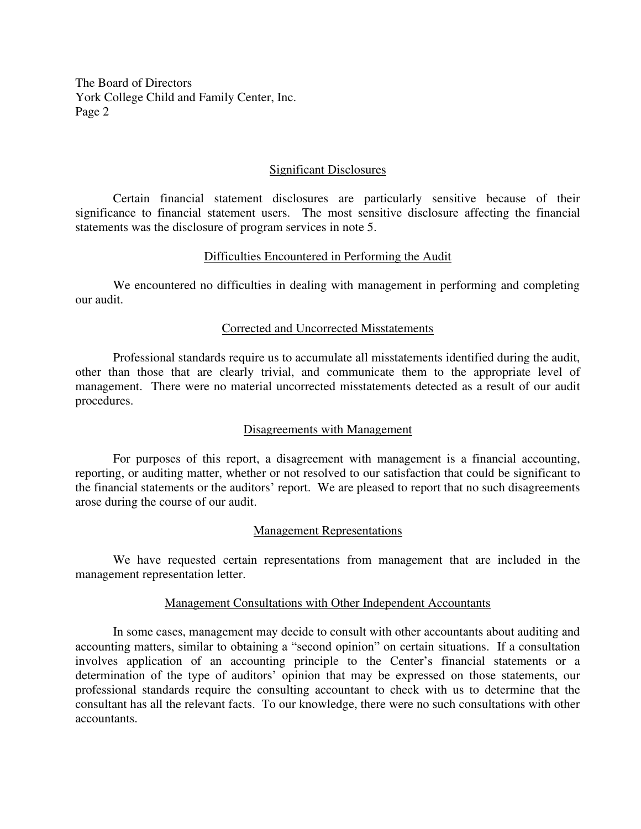The Board of Directors York College Child and Family Center, Inc. Page 2

## Significant Disclosures

 Certain financial statement disclosures are particularly sensitive because of their significance to financial statement users. The most sensitive disclosure affecting the financial statements was the disclosure of program services in note 5.

## Difficulties Encountered in Performing the Audit

 We encountered no difficulties in dealing with management in performing and completing our audit.

### Corrected and Uncorrected Misstatements

 Professional standards require us to accumulate all misstatements identified during the audit, other than those that are clearly trivial, and communicate them to the appropriate level of management. There were no material uncorrected misstatements detected as a result of our audit procedures.

# Disagreements with Management

 For purposes of this report, a disagreement with management is a financial accounting, reporting, or auditing matter, whether or not resolved to our satisfaction that could be significant to the financial statements or the auditors' report. We are pleased to report that no such disagreements arose during the course of our audit.

### Management Representations

 We have requested certain representations from management that are included in the management representation letter.

### Management Consultations with Other Independent Accountants

 In some cases, management may decide to consult with other accountants about auditing and accounting matters, similar to obtaining a "second opinion" on certain situations. If a consultation involves application of an accounting principle to the Center's financial statements or a determination of the type of auditors' opinion that may be expressed on those statements, our professional standards require the consulting accountant to check with us to determine that the consultant has all the relevant facts. To our knowledge, there were no such consultations with other accountants.